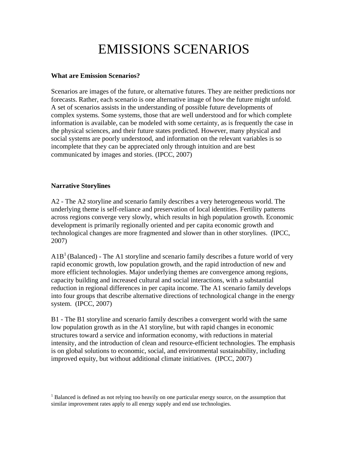# EMISSIONS SCENARIOS

## **What are Emission Scenarios?**

Scenarios are images of the future, or alternative futures. They are neither predictions nor forecasts. Rather, each scenario is one alternative image of how the future might unfold. A set of scenarios assists in the understanding of possible future developments of complex systems. Some systems, those that are well understood and for which complete information is available, can be modeled with some certainty, as is frequently the case in the physical sciences, and their future states predicted. However, many physical and social systems are poorly understood, and information on the relevant variables is so incomplete that they can be appreciated only through intuition and are best communicated by images and stories. (IPCC, 2007)

## **Narrative Storylines**

A2 - The A2 storyline and scenario family describes a very heterogeneous world. The underlying theme is self-reliance and preservation of local identities. Fertility patterns across regions converge very slowly, which results in high population growth. Economic development is primarily regionally oriented and per capita economic growth and technological changes are more fragmented and slower than in other storylines. (IPCC, 2007)

 $A1B<sup>1</sup>$  (Balanced) - The A1 storyline and scenario family describes a future world of very rapid economic growth, low population growth, and the rapid introduction of new and more efficient technologies. Major underlying themes are convergence among regions, capacity building and increased cultural and social interactions, with a substantial reduction in regional differences in per capita income. The A1 scenario family develops into four groups that describe alternative directions of technological change in the energy system. (IPCC, 2007)

B1 - The B1 storyline and scenario family describes a convergent world with the same low population growth as in the A1 storyline, but with rapid changes in economic structures toward a service and information economy, with reductions in material intensity, and the introduction of clean and resource-efficient technologies. The emphasis is on global solutions to economic, social, and environmental sustainability, including improved equity, but without additional climate initiatives. (IPCC, 2007)

<sup>&</sup>lt;sup>1</sup> Balanced is defined as not relying too heavily on one particular energy source, on the assumption that similar improvement rates apply to all energy supply and end use technologies.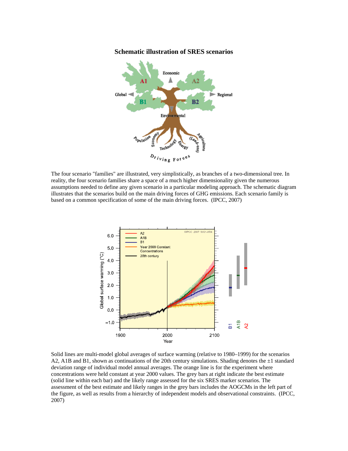#### **Schematic illustration of SRES scenarios**



The four scenario "families" are illustrated, very simplistically, as branches of a two-dimensional tree. In reality, the four scenario families share a space of a much higher dimensionality given the numerous assumptions needed to define any given scenario in a particular modeling approach. The schematic diagram illustrates that the scenarios build on the main driving forces of GHG emissions. Each scenario family is based on a common specification of some of the main driving forces. (IPCC, 2007)



Solid lines are multi-model global averages of surface warming (relative to 1980–1999) for the scenarios A2, A1B and B1, shown as continuations of the 20th century simulations. Shading denotes the  $\pm 1$  standard deviation range of individual model annual averages. The orange line is for the experiment where concentrations were held constant at year 2000 values. The grey bars at right indicate the best estimate (solid line within each bar) and the likely range assessed for the six SRES marker scenarios. The assessment of the best estimate and likely ranges in the grey bars includes the AOGCMs in the left part of the figure, as well as results from a hierarchy of independent models and observational constraints. (IPCC, 2007)